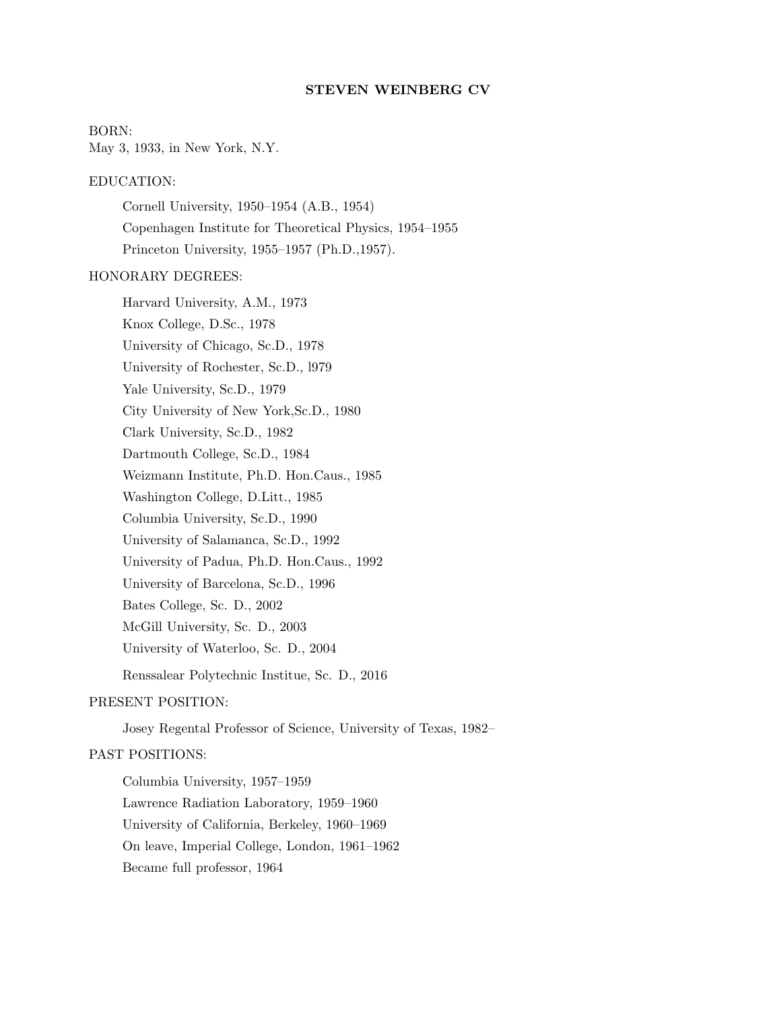### STEVEN WEINBERG CV

#### BORN:

May 3, 1933, in New York, N.Y.

## EDUCATION:

Cornell University, 1950–1954 (A.B., 1954) Copenhagen Institute for Theoretical Physics, 1954–1955 Princeton University, 1955–1957 (Ph.D.,1957).

## HONORARY DEGREES:

Harvard University, A.M., 1973 Knox College, D.Sc., 1978 University of Chicago, Sc.D., 1978 University of Rochester, Sc.D., l979 Yale University, Sc.D., 1979 City University of New York,Sc.D., 1980 Clark University, Sc.D., 1982 Dartmouth College, Sc.D., 1984 Weizmann Institute, Ph.D. Hon.Caus., 1985 Washington College, D.Litt., 1985 Columbia University, Sc.D., 1990 University of Salamanca, Sc.D., 1992 University of Padua, Ph.D. Hon.Caus., 1992 University of Barcelona, Sc.D., 1996 Bates College, Sc. D., 2002 McGill University, Sc. D., 2003 University of Waterloo, Sc. D., 2004 Renssalear Polytechnic Institue, Sc. D., 2016

### PRESENT POSITION:

Josey Regental Professor of Science, University of Texas, 1982–

# PAST POSITIONS:

Columbia University, 1957–1959 Lawrence Radiation Laboratory, 1959–1960 University of California, Berkeley, 1960–1969 On leave, Imperial College, London, 1961–1962 Became full professor, 1964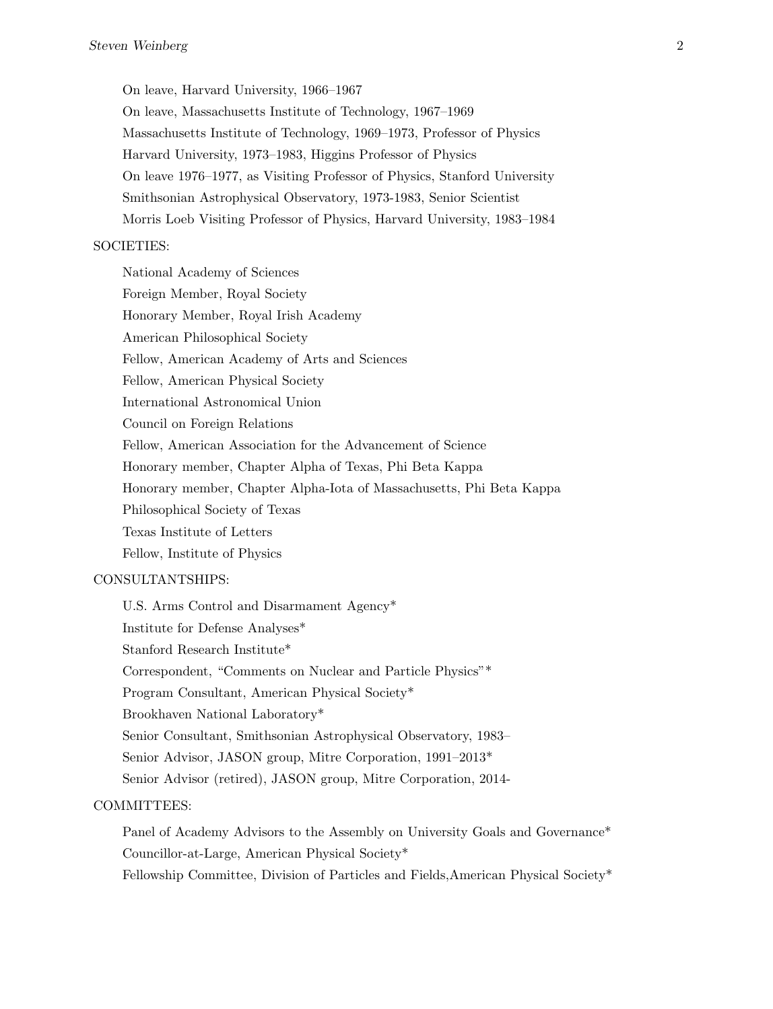On leave, Harvard University, 1966–1967

On leave, Massachusetts Institute of Technology, 1967–1969 Massachusetts Institute of Technology, 1969–1973, Professor of Physics Harvard University, 1973–1983, Higgins Professor of Physics On leave 1976–1977, as Visiting Professor of Physics, Stanford University Smithsonian Astrophysical Observatory, 1973-1983, Senior Scientist Morris Loeb Visiting Professor of Physics, Harvard University, 1983–1984

## SOCIETIES:

National Academy of Sciences Foreign Member, Royal Society Honorary Member, Royal Irish Academy American Philosophical Society Fellow, American Academy of Arts and Sciences Fellow, American Physical Society International Astronomical Union Council on Foreign Relations Fellow, American Association for the Advancement of Science Honorary member, Chapter Alpha of Texas, Phi Beta Kappa Honorary member, Chapter Alpha-Iota of Massachusetts, Phi Beta Kappa Philosophical Society of Texas Texas Institute of Letters Fellow, Institute of Physics

## CONSULTANTSHIPS:

U.S. Arms Control and Disarmament Agency\* Institute for Defense Analyses\* Stanford Research Institute\* Correspondent, "Comments on Nuclear and Particle Physics"\* Program Consultant, American Physical Society\* Brookhaven National Laboratory\* Senior Consultant, Smithsonian Astrophysical Observatory, 1983– Senior Advisor, JASON group, Mitre Corporation, 1991–2013\* Senior Advisor (retired), JASON group, Mitre Corporation, 2014-

#### COMMITTEES:

Panel of Academy Advisors to the Assembly on University Goals and Governance<sup>\*</sup> Councillor-at-Large, American Physical Society\* Fellowship Committee, Division of Particles and Fields,American Physical Society\*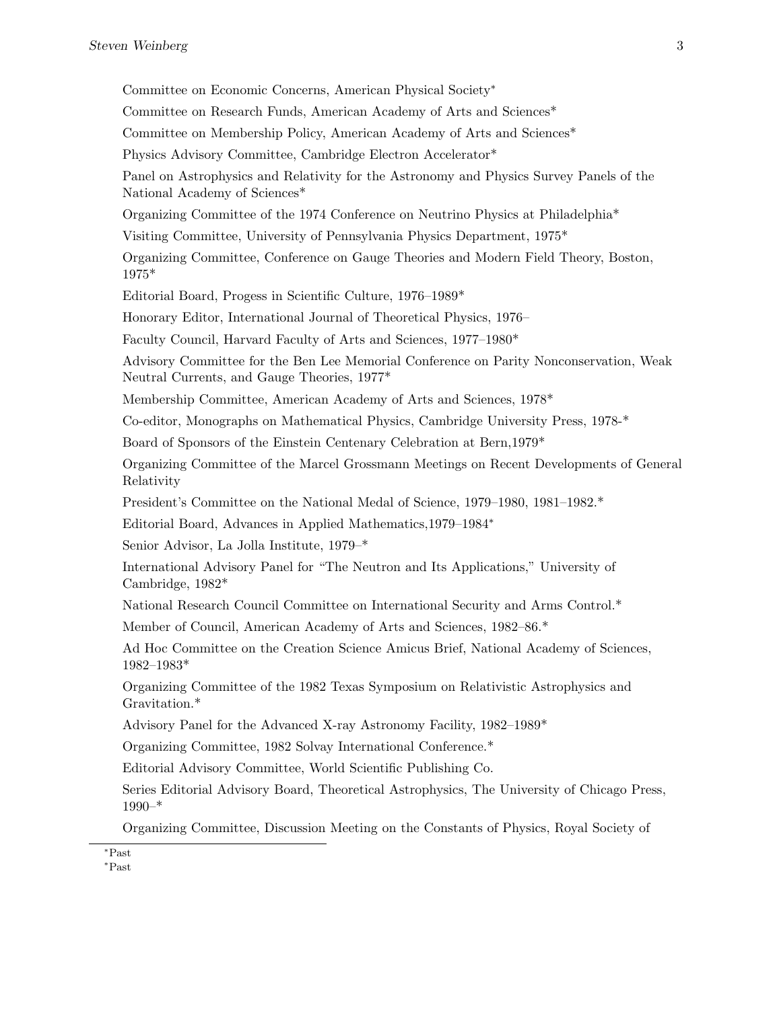Committee on Economic Concerns, American Physical Society<sup>∗</sup> Committee on Research Funds, American Academy of Arts and Sciences\* Committee on Membership Policy, American Academy of Arts and Sciences\* Physics Advisory Committee, Cambridge Electron Accelerator\* Panel on Astrophysics and Relativity for the Astronomy and Physics Survey Panels of the National Academy of Sciences\* Organizing Committee of the 1974 Conference on Neutrino Physics at Philadelphia\* Visiting Committee, University of Pennsylvania Physics Department, 1975\* Organizing Committee, Conference on Gauge Theories and Modern Field Theory, Boston, 1975\* Editorial Board, Progess in Scientific Culture, 1976–1989\* Honorary Editor, International Journal of Theoretical Physics, 1976– Faculty Council, Harvard Faculty of Arts and Sciences, 1977–1980\* Advisory Committee for the Ben Lee Memorial Conference on Parity Nonconservation, Weak Neutral Currents, and Gauge Theories, 1977\* Membership Committee, American Academy of Arts and Sciences, 1978\* Co-editor, Monographs on Mathematical Physics, Cambridge University Press, 1978-\* Board of Sponsors of the Einstein Centenary Celebration at Bern,1979\* Organizing Committee of the Marcel Grossmann Meetings on Recent Developments of General Relativity President's Committee on the National Medal of Science, 1979–1980, 1981–1982.\* Editorial Board, Advances in Applied Mathematics,1979–1984<sup>∗</sup> Senior Advisor, La Jolla Institute, 1979–\* International Advisory Panel for "The Neutron and Its Applications," University of Cambridge, 1982\* National Research Council Committee on International Security and Arms Control.\* Member of Council, American Academy of Arts and Sciences, 1982–86.\* Ad Hoc Committee on the Creation Science Amicus Brief, National Academy of Sciences, 1982–1983\* Organizing Committee of the 1982 Texas Symposium on Relativistic Astrophysics and Gravitation.\* Advisory Panel for the Advanced X-ray Astronomy Facility, 1982–1989\* Organizing Committee, 1982 Solvay International Conference.\* Editorial Advisory Committee, World Scientific Publishing Co. Series Editorial Advisory Board, Theoretical Astrophysics, The University of Chicago Press, 1990–\* Organizing Committee, Discussion Meeting on the Constants of Physics, Royal Society of

<sup>∗</sup>Past

<sup>∗</sup>Past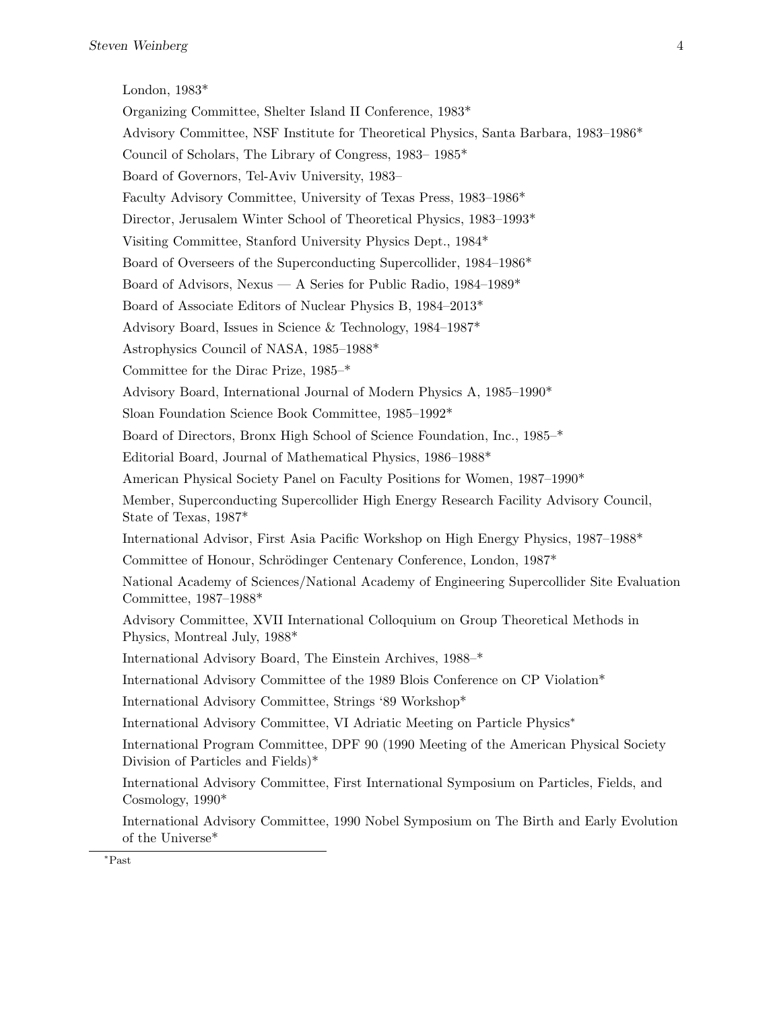London, 1983\*

Organizing Committee, Shelter Island II Conference, 1983\* Advisory Committee, NSF Institute for Theoretical Physics, Santa Barbara, 1983–1986\* Council of Scholars, The Library of Congress, 1983– 1985\* Board of Governors, Tel-Aviv University, 1983– Faculty Advisory Committee, University of Texas Press, 1983–1986\* Director, Jerusalem Winter School of Theoretical Physics, 1983–1993\* Visiting Committee, Stanford University Physics Dept., 1984\* Board of Overseers of the Superconducting Supercollider, 1984–1986\* Board of Advisors, Nexus — A Series for Public Radio, 1984–1989\* Board of Associate Editors of Nuclear Physics B, 1984–2013\* Advisory Board, Issues in Science & Technology, 1984–1987\* Astrophysics Council of NASA, 1985–1988\* Committee for the Dirac Prize, 1985–\* Advisory Board, International Journal of Modern Physics A, 1985–1990\* Sloan Foundation Science Book Committee, 1985–1992\* Board of Directors, Bronx High School of Science Foundation, Inc., 1985–\* Editorial Board, Journal of Mathematical Physics, 1986–1988\* American Physical Society Panel on Faculty Positions for Women, 1987–1990\* Member, Superconducting Supercollider High Energy Research Facility Advisory Council, State of Texas, 1987\* International Advisor, First Asia Pacific Workshop on High Energy Physics, 1987–1988\* Committee of Honour, Schrödinger Centenary Conference, London, 1987<sup>\*</sup> National Academy of Sciences/National Academy of Engineering Supercollider Site Evaluation Committee, 1987–1988\* Advisory Committee, XVII International Colloquium on Group Theoretical Methods in Physics, Montreal July, 1988\* International Advisory Board, The Einstein Archives, 1988–\* International Advisory Committee of the 1989 Blois Conference on CP Violation\* International Advisory Committee, Strings '89 Workshop\* International Advisory Committee, VI Adriatic Meeting on Particle Physics<sup>∗</sup> International Program Committee, DPF 90 (1990 Meeting of the American Physical Society Division of Particles and Fields)\* International Advisory Committee, First International Symposium on Particles, Fields, and Cosmology, 1990\* International Advisory Committee, 1990 Nobel Symposium on The Birth and Early Evolution

<sup>∗</sup>Past

of the Universe\*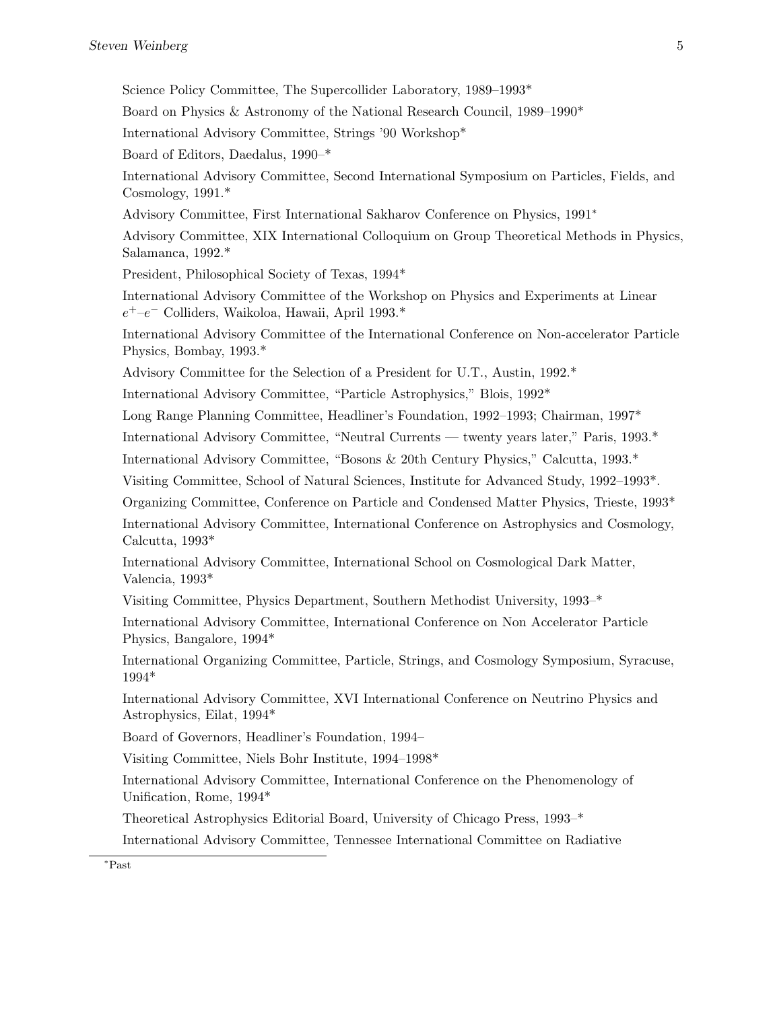Science Policy Committee, The Supercollider Laboratory, 1989–1993\*

Board on Physics & Astronomy of the National Research Council, 1989–1990\*

International Advisory Committee, Strings '90 Workshop\*

Board of Editors, Daedalus, 1990–\*

International Advisory Committee, Second International Symposium on Particles, Fields, and Cosmology, 1991.\*

Advisory Committee, First International Sakharov Conference on Physics, 1991<sup>∗</sup>

Advisory Committee, XIX International Colloquium on Group Theoretical Methods in Physics, Salamanca, 1992.\*

President, Philosophical Society of Texas, 1994\*

International Advisory Committee of the Workshop on Physics and Experiments at Linear  $e^+$ - $e^-$  Colliders, Waikoloa, Hawaii, April 1993.<sup>\*</sup>

International Advisory Committee of the International Conference on Non-accelerator Particle Physics, Bombay, 1993.\*

Advisory Committee for the Selection of a President for U.T., Austin, 1992.\*

International Advisory Committee, "Particle Astrophysics," Blois, 1992\*

Long Range Planning Committee, Headliner's Foundation, 1992–1993; Chairman, 1997\*

International Advisory Committee, "Neutral Currents — twenty years later," Paris, 1993.\*

International Advisory Committee, "Bosons & 20th Century Physics," Calcutta, 1993.\*

Visiting Committee, School of Natural Sciences, Institute for Advanced Study, 1992–1993\*.

Organizing Committee, Conference on Particle and Condensed Matter Physics, Trieste, 1993\*

International Advisory Committee, International Conference on Astrophysics and Cosmology, Calcutta, 1993\*

International Advisory Committee, International School on Cosmological Dark Matter, Valencia, 1993\*

Visiting Committee, Physics Department, Southern Methodist University, 1993–\*

International Advisory Committee, International Conference on Non Accelerator Particle Physics, Bangalore, 1994\*

International Organizing Committee, Particle, Strings, and Cosmology Symposium, Syracuse, 1994\*

International Advisory Committee, XVI International Conference on Neutrino Physics and Astrophysics, Eilat, 1994\*

Board of Governors, Headliner's Foundation, 1994–

Visiting Committee, Niels Bohr Institute, 1994–1998\*

International Advisory Committee, International Conference on the Phenomenology of Unification, Rome, 1994\*

Theoretical Astrophysics Editorial Board, University of Chicago Press, 1993–\*

International Advisory Committee, Tennessee International Committee on Radiative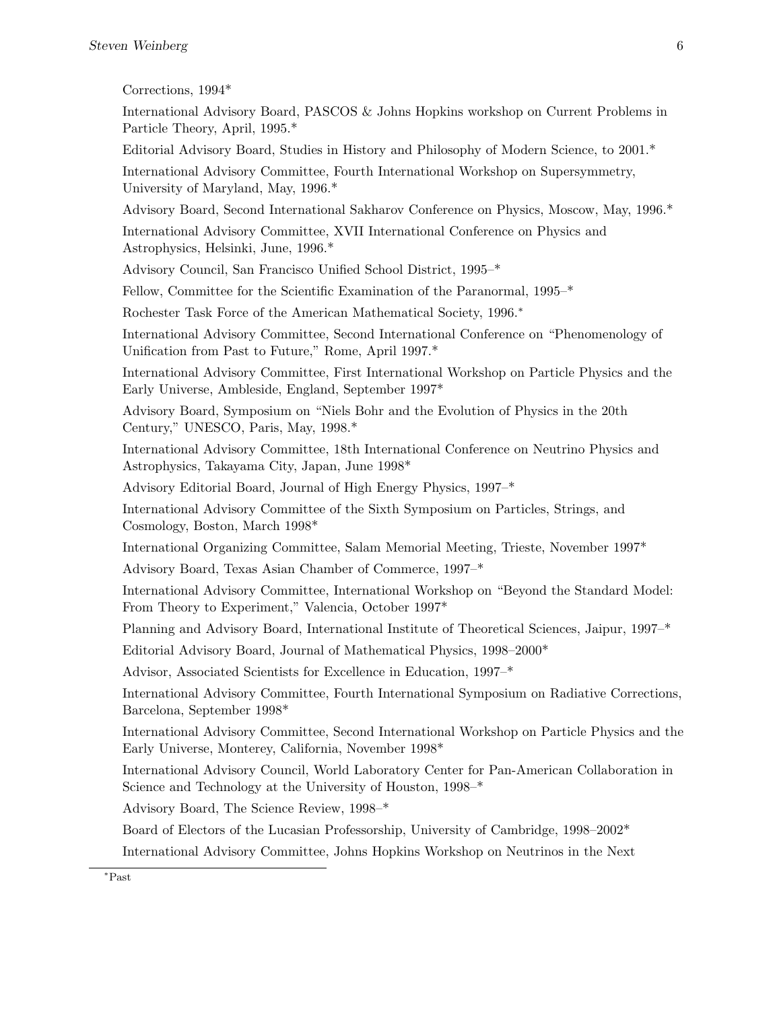| Corrections, $1994*$ |  |
|----------------------|--|
|----------------------|--|

International Advisory Board, PASCOS & Johns Hopkins workshop on Current Problems in Particle Theory, April, 1995.\*

Editorial Advisory Board, Studies in History and Philosophy of Modern Science, to 2001.\*

International Advisory Committee, Fourth International Workshop on Supersymmetry, University of Maryland, May, 1996.\*

Advisory Board, Second International Sakharov Conference on Physics, Moscow, May, 1996.\*

International Advisory Committee, XVII International Conference on Physics and Astrophysics, Helsinki, June, 1996.\*

Advisory Council, San Francisco Unified School District, 1995–\*

Fellow, Committee for the Scientific Examination of the Paranormal, 1995–\*

Rochester Task Force of the American Mathematical Society, 1996.<sup>∗</sup>

International Advisory Committee, Second International Conference on "Phenomenology of Unification from Past to Future," Rome, April 1997.\*

International Advisory Committee, First International Workshop on Particle Physics and the Early Universe, Ambleside, England, September 1997\*

Advisory Board, Symposium on "Niels Bohr and the Evolution of Physics in the 20th Century," UNESCO, Paris, May, 1998.\*

International Advisory Committee, 18th International Conference on Neutrino Physics and Astrophysics, Takayama City, Japan, June 1998\*

Advisory Editorial Board, Journal of High Energy Physics, 1997–\*

International Advisory Committee of the Sixth Symposium on Particles, Strings, and Cosmology, Boston, March 1998\*

International Organizing Committee, Salam Memorial Meeting, Trieste, November 1997\*

Advisory Board, Texas Asian Chamber of Commerce, 1997–\*

International Advisory Committee, International Workshop on "Beyond the Standard Model: From Theory to Experiment," Valencia, October 1997\*

Planning and Advisory Board, International Institute of Theoretical Sciences, Jaipur, 1997–\*

Editorial Advisory Board, Journal of Mathematical Physics, 1998–2000\*

Advisor, Associated Scientists for Excellence in Education, 1997–\*

International Advisory Committee, Fourth International Symposium on Radiative Corrections, Barcelona, September 1998\*

International Advisory Committee, Second International Workshop on Particle Physics and the Early Universe, Monterey, California, November 1998\*

International Advisory Council, World Laboratory Center for Pan-American Collaboration in Science and Technology at the University of Houston, 1998–\*

Advisory Board, The Science Review, 1998–\*

Board of Electors of the Lucasian Professorship, University of Cambridge, 1998–2002\*

International Advisory Committee, Johns Hopkins Workshop on Neutrinos in the Next

<sup>∗</sup>Past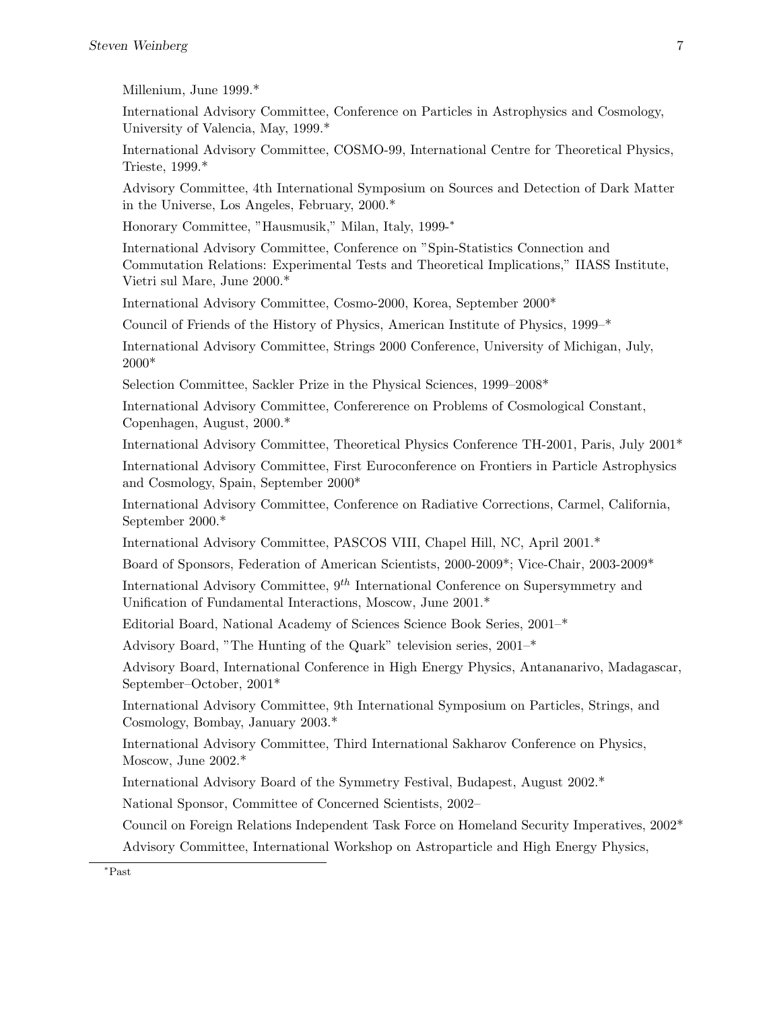Millenium, June 1999.\*

International Advisory Committee, Conference on Particles in Astrophysics and Cosmology, University of Valencia, May, 1999.\*

International Advisory Committee, COSMO-99, International Centre for Theoretical Physics, Trieste, 1999.\*

Advisory Committee, 4th International Symposium on Sources and Detection of Dark Matter in the Universe, Los Angeles, February, 2000.\*

Honorary Committee, "Hausmusik," Milan, Italy, 1999-<sup>∗</sup>

International Advisory Committee, Conference on "Spin-Statistics Connection and Commutation Relations: Experimental Tests and Theoretical Implications," IIASS Institute, Vietri sul Mare, June 2000.\*

International Advisory Committee, Cosmo-2000, Korea, September 2000\*

Council of Friends of the History of Physics, American Institute of Physics, 1999–\*

International Advisory Committee, Strings 2000 Conference, University of Michigan, July, 2000\*

Selection Committee, Sackler Prize in the Physical Sciences, 1999–2008\*

International Advisory Committee, Confererence on Problems of Cosmological Constant, Copenhagen, August, 2000.\*

International Advisory Committee, Theoretical Physics Conference TH-2001, Paris, July 2001\*

International Advisory Committee, First Euroconference on Frontiers in Particle Astrophysics and Cosmology, Spain, September 2000\*

International Advisory Committee, Conference on Radiative Corrections, Carmel, California, September 2000.\*

International Advisory Committee, PASCOS VIII, Chapel Hill, NC, April 2001.\*

Board of Sponsors, Federation of American Scientists, 2000-2009\*; Vice-Chair, 2003-2009\*

International Advisory Committee,  $9<sup>th</sup>$  International Conference on Supersymmetry and Unification of Fundamental Interactions, Moscow, June 2001.\*

Editorial Board, National Academy of Sciences Science Book Series, 2001–\*

Advisory Board, "The Hunting of the Quark" television series, 2001–\*

Advisory Board, International Conference in High Energy Physics, Antananarivo, Madagascar, September–October, 2001\*

International Advisory Committee, 9th International Symposium on Particles, Strings, and Cosmology, Bombay, January 2003.\*

International Advisory Committee, Third International Sakharov Conference on Physics, Moscow, June 2002.\*

International Advisory Board of the Symmetry Festival, Budapest, August 2002.\*

National Sponsor, Committee of Concerned Scientists, 2002–

Council on Foreign Relations Independent Task Force on Homeland Security Imperatives, 2002\* Advisory Committee, International Workshop on Astroparticle and High Energy Physics,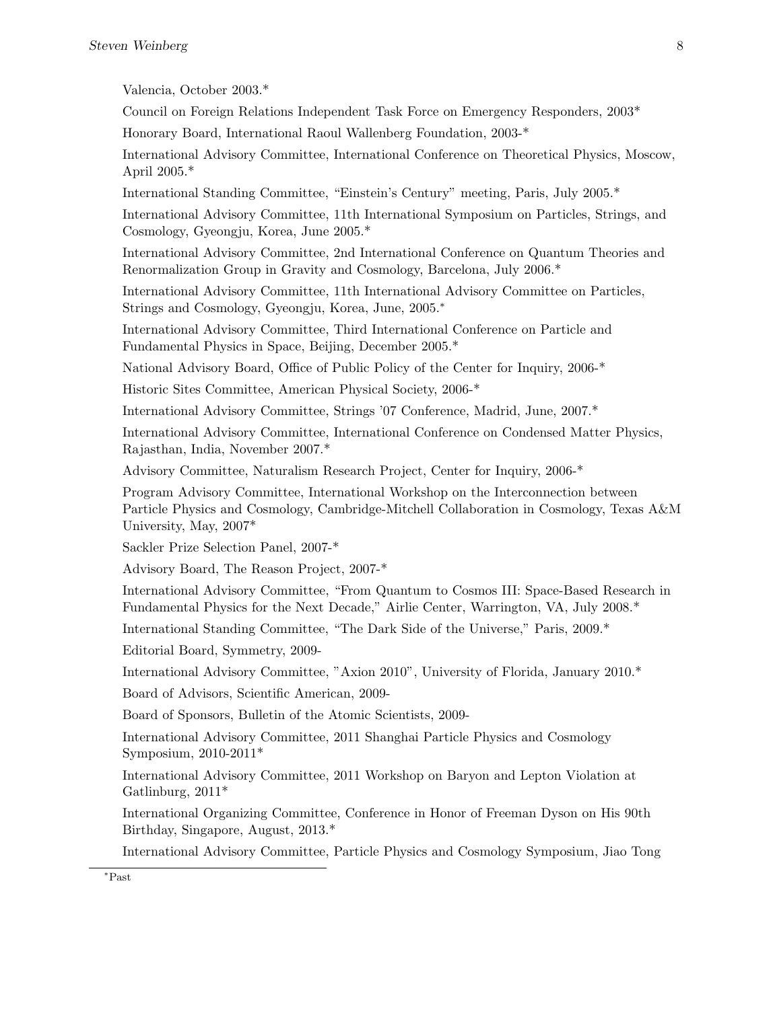Valencia, October 2003.\*

Council on Foreign Relations Independent Task Force on Emergency Responders, 2003\*

Honorary Board, International Raoul Wallenberg Foundation, 2003-\*

International Advisory Committee, International Conference on Theoretical Physics, Moscow, April 2005.\*

International Standing Committee, "Einstein's Century" meeting, Paris, July 2005.\*

International Advisory Committee, 11th International Symposium on Particles, Strings, and Cosmology, Gyeongju, Korea, June 2005.\*

International Advisory Committee, 2nd International Conference on Quantum Theories and Renormalization Group in Gravity and Cosmology, Barcelona, July 2006.\*

International Advisory Committee, 11th International Advisory Committee on Particles, Strings and Cosmology, Gyeongju, Korea, June, 2005.<sup>∗</sup>

International Advisory Committee, Third International Conference on Particle and Fundamental Physics in Space, Beijing, December 2005.\*

National Advisory Board, Office of Public Policy of the Center for Inquiry, 2006-\*

Historic Sites Committee, American Physical Society, 2006-\*

International Advisory Committee, Strings '07 Conference, Madrid, June, 2007.\*

International Advisory Committee, International Conference on Condensed Matter Physics, Rajasthan, India, November 2007.\*

Advisory Committee, Naturalism Research Project, Center for Inquiry, 2006-\*

Program Advisory Committee, International Workshop on the Interconnection between Particle Physics and Cosmology, Cambridge-Mitchell Collaboration in Cosmology, Texas A&M University, May, 2007\*

Sackler Prize Selection Panel, 2007-\*

Advisory Board, The Reason Project, 2007-\*

International Advisory Committee, "From Quantum to Cosmos III: Space-Based Research in Fundamental Physics for the Next Decade," Airlie Center, Warrington, VA, July 2008.\*

International Standing Committee, "The Dark Side of the Universe," Paris, 2009.\*

Editorial Board, Symmetry, 2009-

International Advisory Committee, "Axion 2010", University of Florida, January 2010.\*

Board of Advisors, Scientific American, 2009-

Board of Sponsors, Bulletin of the Atomic Scientists, 2009-

International Advisory Committee, 2011 Shanghai Particle Physics and Cosmology Symposium, 2010-2011\*

International Advisory Committee, 2011 Workshop on Baryon and Lepton Violation at Gatlinburg, 2011\*

International Organizing Committee, Conference in Honor of Freeman Dyson on His 90th Birthday, Singapore, August, 2013.\*

International Advisory Committee, Particle Physics and Cosmology Symposium, Jiao Tong

<sup>∗</sup>Past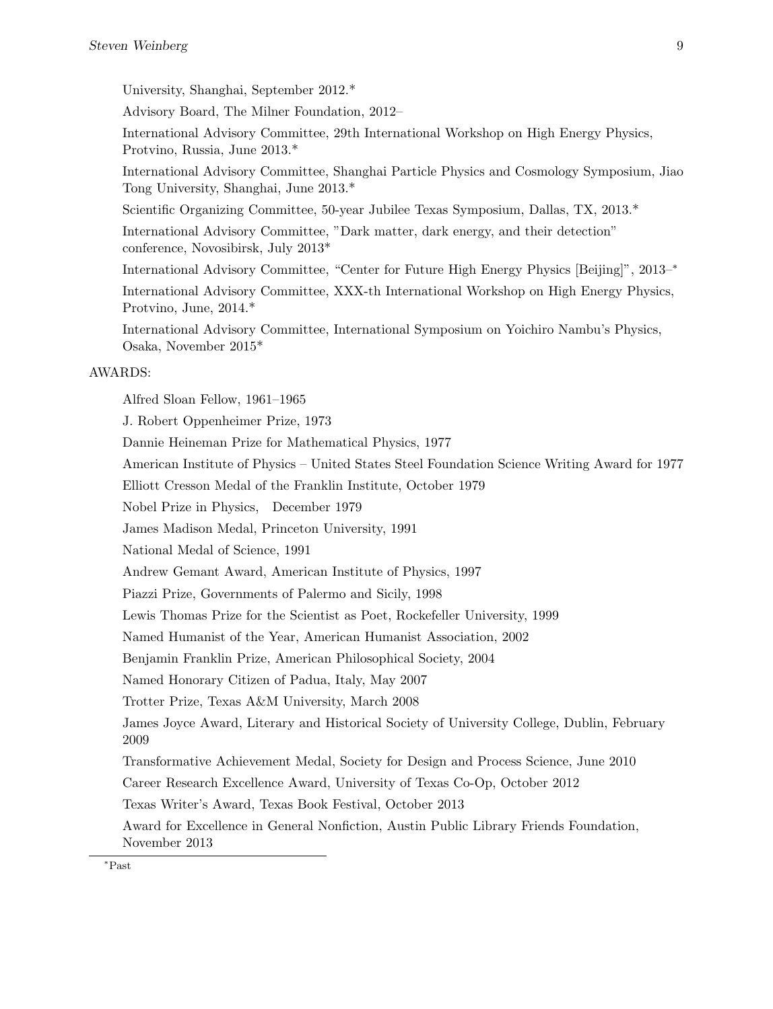University, Shanghai, September 2012.\*

Advisory Board, The Milner Foundation, 2012–

International Advisory Committee, 29th International Workshop on High Energy Physics, Protvino, Russia, June 2013.\*

International Advisory Committee, Shanghai Particle Physics and Cosmology Symposium, Jiao Tong University, Shanghai, June 2013.\*

Scientific Organizing Committee, 50-year Jubilee Texas Symposium, Dallas, TX, 2013.\*

International Advisory Committee, "Dark matter, dark energy, and their detection" conference, Novosibirsk, July 2013\*

International Advisory Committee, "Center for Future High Energy Physics [Beijing]", 2013–<sup>∗</sup>

International Advisory Committee, XXX-th International Workshop on High Energy Physics, Protvino, June, 2014.\*

International Advisory Committee, International Symposium on Yoichiro Nambu's Physics, Osaka, November 2015\*

## AWARDS:

Alfred Sloan Fellow, 1961–1965

J. Robert Oppenheimer Prize, 1973

Dannie Heineman Prize for Mathematical Physics, 1977

American Institute of Physics – United States Steel Foundation Science Writing Award for 1977

Elliott Cresson Medal of the Franklin Institute, October 1979

Nobel Prize in Physics, December 1979

James Madison Medal, Princeton University, 1991

National Medal of Science, 1991

Andrew Gemant Award, American Institute of Physics, 1997

Piazzi Prize, Governments of Palermo and Sicily, 1998

Lewis Thomas Prize for the Scientist as Poet, Rockefeller University, 1999

Named Humanist of the Year, American Humanist Association, 2002

Benjamin Franklin Prize, American Philosophical Society, 2004

Named Honorary Citizen of Padua, Italy, May 2007

Trotter Prize, Texas A&M University, March 2008

James Joyce Award, Literary and Historical Society of University College, Dublin, February 2009

Transformative Achievement Medal, Society for Design and Process Science, June 2010

Career Research Excellence Award, University of Texas Co-Op, October 2012

Texas Writer's Award, Texas Book Festival, October 2013

Award for Excellence in General Nonfiction, Austin Public Library Friends Foundation, November 2013

<sup>∗</sup>Past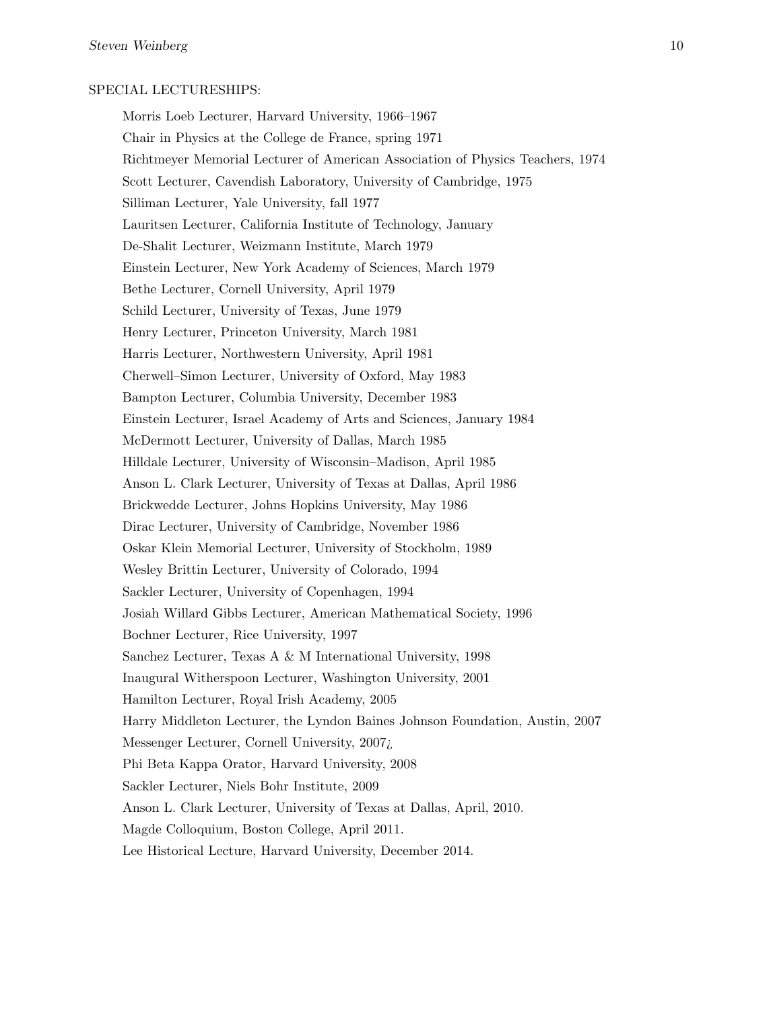## SPECIAL LECTURESHIPS:

Morris Loeb Lecturer, Harvard University, 1966–1967 Chair in Physics at the College de France, spring 1971 Richtmeyer Memorial Lecturer of American Association of Physics Teachers, 1974 Scott Lecturer, Cavendish Laboratory, University of Cambridge, 1975 Silliman Lecturer, Yale University, fall 1977 Lauritsen Lecturer, California Institute of Technology, January De-Shalit Lecturer, Weizmann Institute, March 1979 Einstein Lecturer, New York Academy of Sciences, March 1979 Bethe Lecturer, Cornell University, April 1979 Schild Lecturer, University of Texas, June 1979 Henry Lecturer, Princeton University, March 1981 Harris Lecturer, Northwestern University, April 1981 Cherwell–Simon Lecturer, University of Oxford, May 1983 Bampton Lecturer, Columbia University, December 1983 Einstein Lecturer, Israel Academy of Arts and Sciences, January 1984 McDermott Lecturer, University of Dallas, March 1985 Hilldale Lecturer, University of Wisconsin–Madison, April 1985 Anson L. Clark Lecturer, University of Texas at Dallas, April 1986 Brickwedde Lecturer, Johns Hopkins University, May 1986 Dirac Lecturer, University of Cambridge, November 1986 Oskar Klein Memorial Lecturer, University of Stockholm, 1989 Wesley Brittin Lecturer, University of Colorado, 1994 Sackler Lecturer, University of Copenhagen, 1994 Josiah Willard Gibbs Lecturer, American Mathematical Society, 1996 Bochner Lecturer, Rice University, 1997 Sanchez Lecturer, Texas A & M International University, 1998 Inaugural Witherspoon Lecturer, Washington University, 2001 Hamilton Lecturer, Royal Irish Academy, 2005 Harry Middleton Lecturer, the Lyndon Baines Johnson Foundation, Austin, 2007 Messenger Lecturer, Cornell University, 2007¿ Phi Beta Kappa Orator, Harvard University, 2008 Sackler Lecturer, Niels Bohr Institute, 2009 Anson L. Clark Lecturer, University of Texas at Dallas, April, 2010. Magde Colloquium, Boston College, April 2011. Lee Historical Lecture, Harvard University, December 2014.